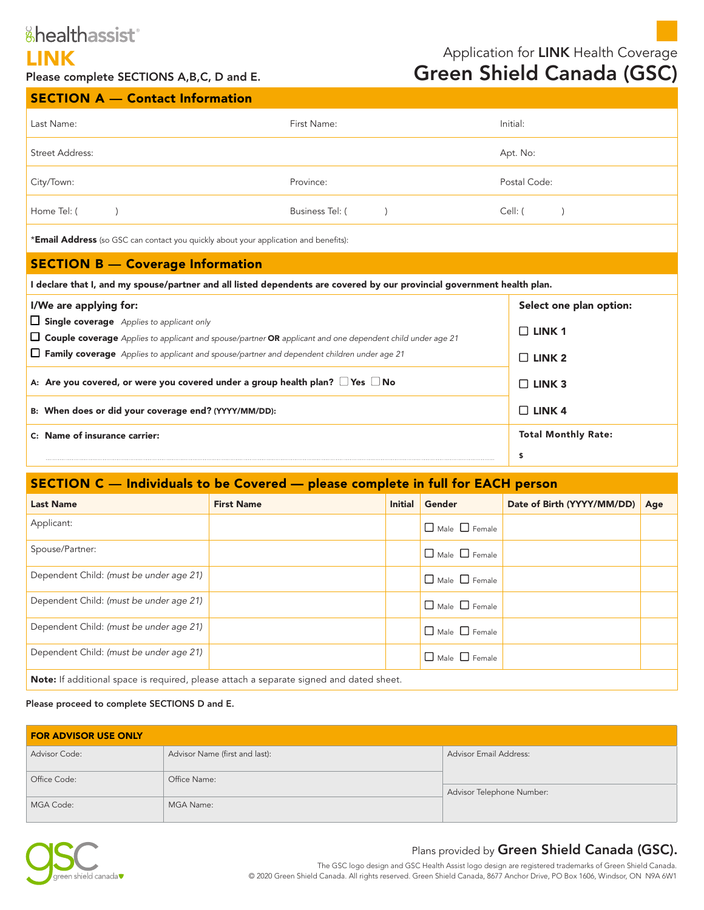# &healthassist®

**LINK**<br>Please complete SECTIONS A,B,C, D and E.<br>**Green Shield Canada (GSC)** Green Shield Canada (GSC)

 $SECTION A =$  Contact Information

| Last Name:                                                                                                              | First Name:                  | Initial:                   |
|-------------------------------------------------------------------------------------------------------------------------|------------------------------|----------------------------|
| Street Address:                                                                                                         |                              | Apt. No:                   |
| City/Town:                                                                                                              | Province:                    | Postal Code:               |
| Home Tel: (                                                                                                             | Business Tel: (<br>$\lambda$ | Cell: (                    |
| *Email Address (so GSC can contact you quickly about your application and benefits):                                    |                              |                            |
| <b>SECTION B - Coverage Information</b>                                                                                 |                              |                            |
| I declare that I, and my spouse/partner and all listed dependents are covered by our provincial government health plan. |                              |                            |
| I/We are applying for:                                                                                                  |                              | Select one plan option:    |
| $\Box$ Single coverage Applies to applicant only                                                                        |                              | $\Box$ LINK 1              |
| □ Couple coverage Applies to applicant and spouse/partner OR applicant and one dependent child under age 21             |                              |                            |
| <b><math>\Box</math> Family coverage</b> Applies to applicant and spouse/partner and dependent children under age 21    | $\Box$ LINK 2                |                            |
| A: Are you covered, or were you covered under a group health plan? $\Box$ Yes $\Box$ No                                 |                              | $\Box$ LINK 3              |
| B: When does or did your coverage end? (YYYY/MM/DD):                                                                    |                              | $\Box$ LINK 4              |
| C: Name of insurance carrier:                                                                                           |                              | <b>Total Monthly Rate:</b> |
|                                                                                                                         |                              | \$                         |

## SECTION C — Individuals to be Covered — please complete in full for EACH person —

| <b>Last Name</b>                                                                        | <b>First Name</b> | <b>Initial</b> | Gender                    | Date of Birth (YYYY/MM/DD) | Age |
|-----------------------------------------------------------------------------------------|-------------------|----------------|---------------------------|----------------------------|-----|
| Applicant:                                                                              |                   |                | $\Box$ Male $\Box$ Female |                            |     |
| Spouse/Partner:                                                                         |                   |                | $\Box$ Male $\Box$ Female |                            |     |
| Dependent Child: (must be under age 21)                                                 |                   |                | $\Box$ Male $\Box$ Female |                            |     |
| Dependent Child: (must be under age 21)                                                 |                   |                | $\Box$ Male $\Box$ Female |                            |     |
| Dependent Child: (must be under age 21)                                                 |                   |                | $\Box$ Male $\Box$ Female |                            |     |
| Dependent Child: (must be under age 21)                                                 |                   |                | $\Box$ Male $\Box$ Female |                            |     |
| Note: If additional space is required, please attach a separate signed and dated sheet. |                   |                |                           |                            |     |

#### Please proceed to complete SECTIONS D and E.

| <b>FOR ADVISOR USE ONLY</b> |                                |                               |  |  |
|-----------------------------|--------------------------------|-------------------------------|--|--|
| Advisor Code:               | Advisor Name (first and last): | <b>Advisor Email Address:</b> |  |  |
| Office Code:                | Office Name:                   |                               |  |  |
| MGA Code:                   | MGA Name:                      | Advisor Telephone Number:     |  |  |
|                             |                                |                               |  |  |

# Plans provided by Green Shield Canada (GSC).

The GSC logo design and GSC Health Assist logo design are registered trademarks of Green Shield Canada. © 2020 Green Shield Canada. All rights reserved. Green Shield Canada, 8677 Anchor Drive, PO Box 1606, Windsor, ON N9A 6W1